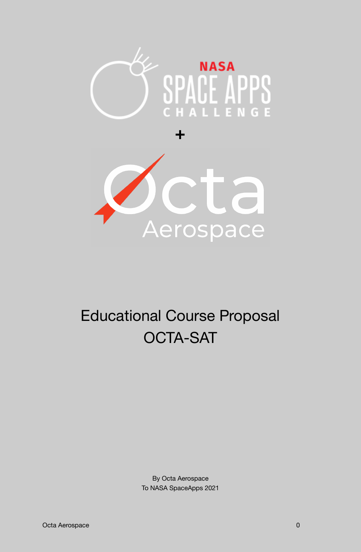

**+**



# Educational Course Proposal OCTA-SAT

By Octa Aerospace To NASA SpaceApps 2021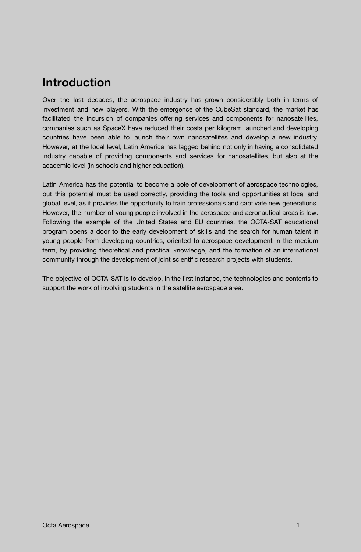### **Introduction**

Over the last decades, the aerospace industry has grown considerably both in terms of investment and new players. With the emergence of the CubeSat standard, the market has facilitated the incursion of companies offering services and components for nanosatellites, companies such as SpaceX have reduced their costs per kilogram launched and developing countries have been able to launch their own nanosatellites and develop a new industry. However, at the local level, Latin America has lagged behind not only in having a consolidated industry capable of providing components and services for nanosatellites, but also at the academic level (in schools and higher education).

Latin America has the potential to become a pole of development of aerospace technologies, but this potential must be used correctly, providing the tools and opportunities at local and global level, as it provides the opportunity to train professionals and captivate new generations. However, the number of young people involved in the aerospace and aeronautical areas is low. Following the example of the United States and EU countries, the OCTA-SAT educational program opens a door to the early development of skills and the search for human talent in young people from developing countries, oriented to aerospace development in the medium term, by providing theoretical and practical knowledge, and the formation of an international community through the development of joint scientific research projects with students.

The objective of OCTA-SAT is to develop, in the first instance, the technologies and contents to support the work of involving students in the satellite aerospace area.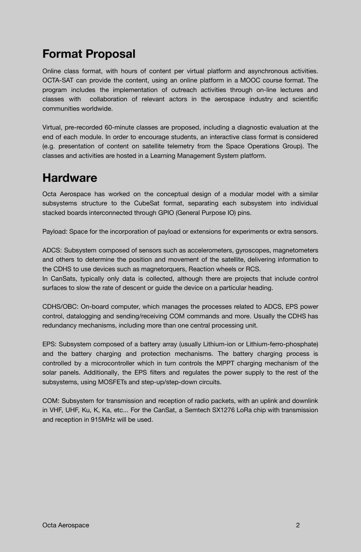# **Format Proposal**

Online class format, with hours of content per virtual platform and asynchronous activities. OCTA-SAT can provide the content, using an online platform in a MOOC course format. The program includes the implementation of outreach activities through on-line lectures and classes with collaboration of relevant actors in the aerospace industry and scientific communities worldwide.

Virtual, pre-recorded 60-minute classes are proposed, including a diagnostic evaluation at the end of each module. In order to encourage students, an interactive class format is considered (e.g. presentation of content on satellite telemetry from the Space Operations Group). The classes and activities are hosted in a Learning Management System platform.

### **Hardware**

Octa Aerospace has worked on the conceptual design of a modular model with a similar subsystems structure to the CubeSat format, separating each subsystem into individual stacked boards interconnected through GPIO (General Purpose IO) pins.

Payload: Space for the incorporation of payload or extensions for experiments or extra sensors.

ADCS: Subsystem composed of sensors such as accelerometers, gyroscopes, magnetometers and others to determine the position and movement of the satellite, delivering information to the CDHS to use devices such as magnetorquers, Reaction wheels or RCS.

In CanSats, typically only data is collected, although there are projects that include control surfaces to slow the rate of descent or guide the device on a particular heading.

CDHS/OBC: On-board computer, which manages the processes related to ADCS, EPS power control, datalogging and sending/receiving COM commands and more. Usually the CDHS has redundancy mechanisms, including more than one central processing unit.

EPS: Subsystem composed of a battery array (usually Lithium-ion or Lithium-ferro-phosphate) and the battery charging and protection mechanisms. The battery charging process is controlled by a microcontroller which in turn controls the MPPT charging mechanism of the solar panels. Additionally, the EPS filters and regulates the power supply to the rest of the subsystems, using MOSFETs and step-up/step-down circuits.

COM: Subsystem for transmission and reception of radio packets, with an uplink and downlink in VHF, UHF, Ku, K, Ka, etc... For the CanSat, a Semtech SX1276 LoRa chip with transmission and reception in 915MHz will be used.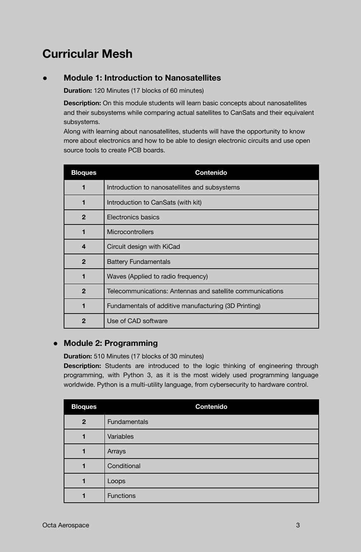# **Curricular Mesh**

#### **● Module 1: Introduction to Nanosatellites**

**Duration:** 120 Minutes (17 blocks of 60 minutes)

**Description:** On this module students will learn basic concepts about nanosatellites and their subsystems while comparing actual satellites to CanSats and their equivalent subsystems.

Along with learning about nanosatellites, students will have the opportunity to know more about electronics and how to be able to design electronic circuits and use open source tools to create PCB boards.

| <b>Bloques</b> | <b>Contenido</b>                                          |
|----------------|-----------------------------------------------------------|
| 1              | Introduction to nanosatellites and subsystems             |
| 1              | Introduction to CanSats (with kit)                        |
| $\mathbf{2}$   | Electronics basics                                        |
| 1              | <b>Microcontrollers</b>                                   |
| 4              | Circuit design with KiCad                                 |
| $\mathbf{2}$   | <b>Battery Fundamentals</b>                               |
| 1              | Waves (Applied to radio frequency)                        |
| $\overline{2}$ | Telecommunications: Antennas and satellite communications |
| 1              | Fundamentals of additive manufacturing (3D Printing)      |
| $\mathbf{2}$   | Use of CAD software                                       |

#### **● Module 2: Programming**

**Duration:** 510 Minutes (17 blocks of 30 minutes)

**Description:** Students are introduced to the logic thinking of engineering through programming, with Python 3, as it is the most widely used programming language worldwide. Python is a multi-utility language, from cybersecurity to hardware control.

| <b>Bloques</b> | <b>Contenido</b> |
|----------------|------------------|
| $\mathbf{2}$   | Fundamentals     |
|                | Variables        |
|                | Arrays           |
|                | Conditional      |
|                | Loops            |
|                | <b>Functions</b> |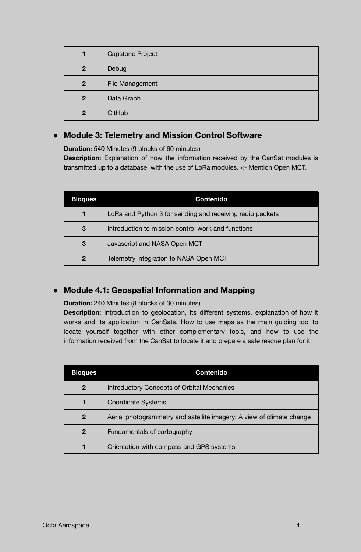| 1              | <b>Capstone Project</b> |
|----------------|-------------------------|
| $\mathbf{2}$   | Debug                   |
| $\overline{2}$ | File Management         |
| $\overline{2}$ | Data Graph              |
| $\mathbf{2}$   | GitHub                  |

#### **● Module 3: Telemetry and Mission Control Software**

**Duration:** 540 Minutes (9 blocks of 60 minutes)

**Description:** Explanation of how the information received by the CanSat modules is transmitted up to a database, with the use of LoRa modules. <- Mention Open MCT.

| <b>Bloques</b> | <b>Contenido</b>                                          |
|----------------|-----------------------------------------------------------|
|                | LoRa and Python 3 for sending and receiving radio packets |
| 3              | Introduction to mission control work and functions        |
| 3              | Javascript and NASA Open MCT                              |
| $\overline{2}$ | Telemetry integration to NASA Open MCT                    |

#### **● Module 4.1: Geospatial Information and Mapping**

**Duration:** 240 Minutes (8 blocks of 30 minutes)

**Description:** Introduction to geolocation, its different systems, explanation of how it works and its application in CanSats. How to use maps as the main guiding tool to locate yourself together with other complementary tools, and how to use the information received from the CanSat to locate it and prepare a safe rescue plan for it.

| <b>Bloques</b> | <b>Contenido</b>                                                      |
|----------------|-----------------------------------------------------------------------|
| 2              | <b>Introductory Concepts of Orbital Mechanics</b>                     |
|                | <b>Coordinate Systems</b>                                             |
| $\mathbf{2}$   | Aerial photogrammetry and satellite imagery: A view of climate change |
| $\mathbf 2$    | Fundamentals of cartography                                           |
|                | Orientation with compass and GPS systems                              |